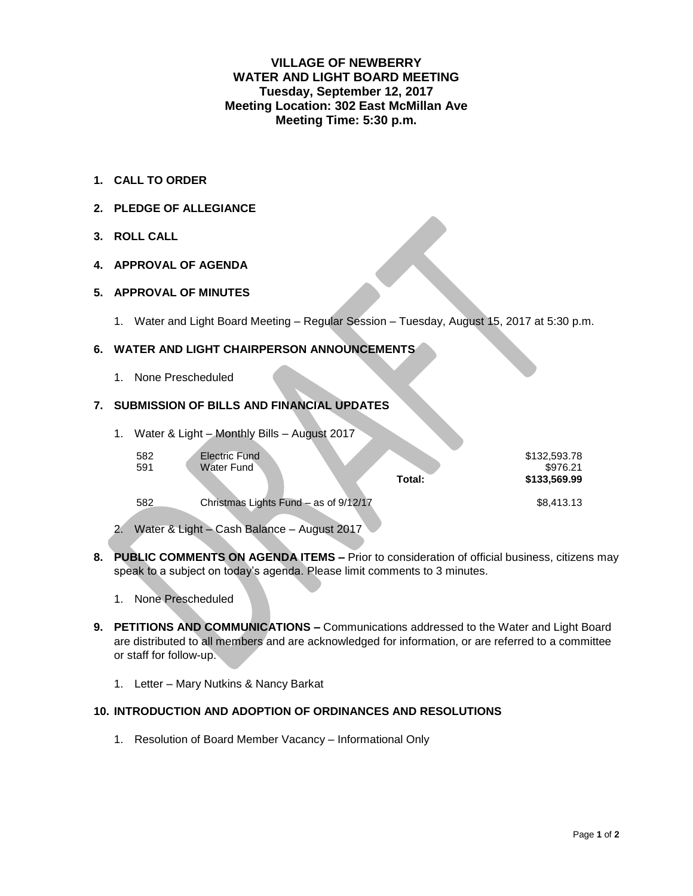# **VILLAGE OF NEWBERRY WATER AND LIGHT BOARD MEETING Tuesday, September 12, 2017 Meeting Location: 302 East McMillan Ave Meeting Time: 5:30 p.m.**

- **1. CALL TO ORDER**
- **2. PLEDGE OF ALLEGIANCE**
- **3. ROLL CALL**

## **4. APPROVAL OF AGENDA**

#### **5. APPROVAL OF MINUTES**

1. Water and Light Board Meeting – Regular Session – Tuesday, August 15, 2017 at 5:30 p.m.

### **6. WATER AND LIGHT CHAIRPERSON ANNOUNCEMENTS**

1. None Prescheduled

# **7. SUBMISSION OF BILLS AND FINANCIAL UPDATES**

|     | 1. Water & Light - Monthly Bills - August 2017 |  |
|-----|------------------------------------------------|--|
| 582 | <b>Electric Fund</b>                           |  |

| 591 | Water Fund                            |        | \$976.21     |
|-----|---------------------------------------|--------|--------------|
|     |                                       | Total: | \$133,569,99 |
| 582 | Christmas Lights Fund - as of 9/12/17 |        | \$8,413,13   |

2. Water & Light – Cash Balance – August 2017

- **8. PUBLIC COMMENTS ON AGENDA ITEMS –** Prior to consideration of official business, citizens may speak to a subject on today's agenda. Please limit comments to 3 minutes.
	- 1. None Prescheduled
- **9. PETITIONS AND COMMUNICATIONS –** Communications addressed to the Water and Light Board are distributed to all members and are acknowledged for information, or are referred to a committee or staff for follow-up.
	- 1. Letter Mary Nutkins & Nancy Barkat

### **10. INTRODUCTION AND ADOPTION OF ORDINANCES AND RESOLUTIONS**

1. Resolution of Board Member Vacancy – Informational Only

\$132,593.78